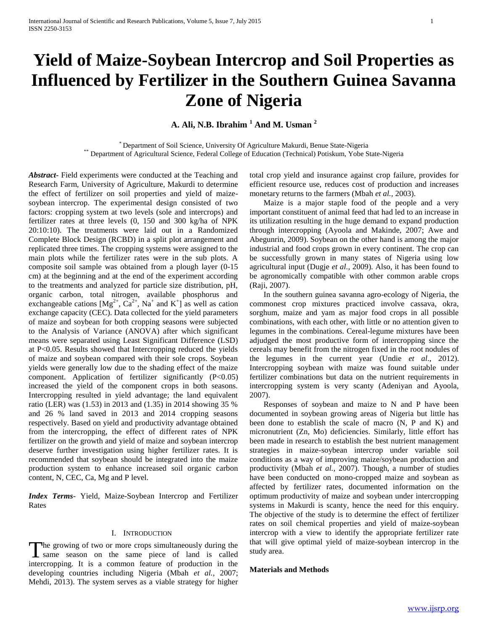# **Yield of Maize-Soybean Intercrop and Soil Properties as Influenced by Fertilizer in the Southern Guinea Savanna Zone of Nigeria**

**A. Ali, N.B. Ibrahim <sup>1</sup> And M. Usman <sup>2</sup>**

\* Department of Soil Science, University Of Agriculture Makurdi, Benue State-Nigeria \*\* Department of Agricultural Science, Federal College of Education (Technical) Potiskum, Yobe State-Nigeria

*Abstract***-** Field experiments were conducted at the Teaching and Research Farm, University of Agriculture, Makurdi to determine the effect of fertilizer on soil properties and yield of maizesoybean intercrop. The experimental design consisted of two factors: cropping system at two levels (sole and intercrops) and fertilizer rates at three levels (0, 150 and 300 kg/ha of NPK 20:10:10). The treatments were laid out in a Randomized Complete Block Design (RCBD) in a split plot arrangement and replicated three times. The cropping systems were assigned to the main plots while the fertilizer rates were in the sub plots. A composite soil sample was obtained from a plough layer (0-15 cm) at the beginning and at the end of the experiment according to the treatments and analyzed for particle size distribution, pH, organic carbon, total nitrogen, available phosphorus and exchangeable cations  $[Mg^{2+}, Ca^{2+}, Na^+$  and  $K^+]$  as well as cation exchange capacity (CEC). Data collected for the yield parameters of maize and soybean for both cropping seasons were subjected to the Analysis of Variance (ANOVA) after which significant means were separated using Least Significant Difference (LSD) at P<0.05. Results showed that Intercropping reduced the yields of maize and soybean compared with their sole crops. Soybean yields were generally low due to the shading effect of the maize component. Application of fertilizer significantly (P<0.05) increased the yield of the component crops in both seasons. Intercropping resulted in yield advantage; the land equivalent ratio (LER) was (1.53) in 2013 and (1.35) in 2014 showing 35 % and 26 % land saved in 2013 and 2014 cropping seasons respectively. Based on yield and productivity advantage obtained from the intercropping, the effect of different rates of NPK fertilizer on the growth and yield of maize and soybean intercrop deserve further investigation using higher fertilizer rates. It is recommended that soybean should be integrated into the maize production system to enhance increased soil organic carbon content, N, CEC, Ca, Mg and P level.

*Index Terms*- Yield, Maize-Soybean Intercrop and Fertilizer Rates

# I. INTRODUCTION

The growing of two or more crops simultaneously during the same season on the same piece of land is called I same season on the same piece of land is called intercropping. It is a common feature of production in the developing countries including Nigeria (Mbah *et al.,* 2007; Mehdi, 2013). The system serves as a viable strategy for higher

total crop yield and insurance against crop failure, provides for efficient resource use, reduces cost of production and increases monetary returns to the farmers (Mbah *et al.,* 2003).

 Maize is a major staple food of the people and a very important constituent of animal feed that had led to an increase in its utilization resulting in the huge demand to expand production through intercropping (Ayoola and Makinde, 2007; Awe and Abegunrin, 2009). Soybean on the other hand is among the major industrial and food crops grown in every continent. The crop can be successfully grown in many states of Nigeria using low agricultural input (Dugje *et al.,* 2009). Also, it has been found to be agronomically compatible with other common arable crops (Raji, 2007).

 In the southern guinea savanna agro-ecology of Nigeria, the commonest crop mixtures practiced involve cassava, okra, sorghum, maize and yam as major food crops in all possible combinations, with each other, with little or no attention given to legumes in the combinations. Cereal-legume mixtures have been adjudged the most productive form of intercropping since the cereals may benefit from the nitrogen fixed in the root nodules of the legumes in the current year (Undie *et al*., 2012). Intercropping soybean with maize was found suitable under fertilizer combinations but data on the nutrient requirements in intercropping system is very scanty (Adeniyan and Ayoola, 2007).

 Responses of soybean and maize to N and P have been documented in soybean growing areas of Nigeria but little has been done to establish the scale of macro (N, P and K) and micronutrient (Zn, Mo) deficiencies. Similarly, little effort has been made in research to establish the best nutrient management strategies in maize-soybean intercrop under variable soil conditions as a way of improving maize/soybean production and productivity (Mbah *et al.,* 2007). Though, a number of studies have been conducted on mono-cropped maize and soybean as affected by fertilizer rates, documented information on the optimum productivity of maize and soybean under intercropping systems in Makurdi is scanty, hence the need for this enquiry. The objective of the study is to determine the effect of fertilizer rates on soil chemical properties and yield of maize-soybean intercrop with a view to identify the appropriate fertilizer rate that will give optimal yield of maize-soybean intercrop in the study area.

# **Materials and Methods**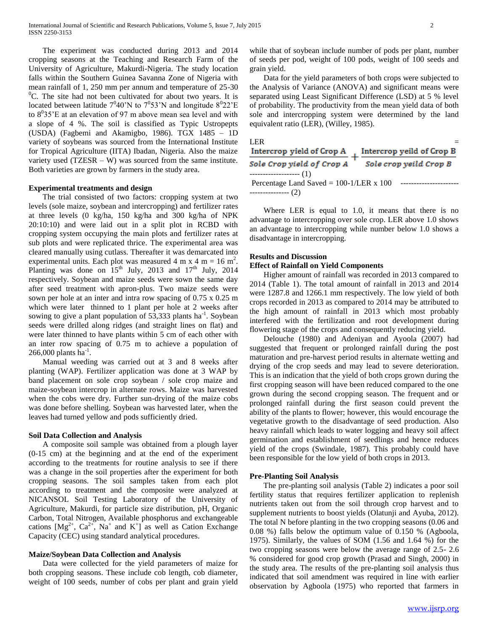The experiment was conducted during 2013 and 2014 cropping seasons at the Teaching and Research Farm of the University of Agriculture, Makurdi-Nigeria. The study location falls within the Southern Guinea Savanna Zone of Nigeria with mean rainfall of 1, 250 mm per annum and temperature of 25-30  $^{0}$ C. The site had not been cultivated for about two years. It is located between latitude  $7^0 40$ 'N to  $7^0 53$ 'N and longitude  $8^0 22$ 'E to  $8^035$ 'E at an elevation of 97 m above mean sea level and with a slope of 4 %. The soil is classified as Typic Ustropepts (USDA) (Fagbemi and Akamigbo, 1986). TGX 1485 – 1D variety of soybeans was sourced from the International Institute for Tropical Agriculture (IITA) Ibadan, Nigeria. Also the maize variety used  $(TZESR - W)$  was sourced from the same institute. Both varieties are grown by farmers in the study area.

## **Experimental treatments and design**

 The trial consisted of two factors: cropping system at two levels (sole maize, soybean and intercropping) and fertilizer rates at three levels (0 kg/ha, 150 kg/ha and 300 kg/ha of NPK 20:10:10) and were laid out in a split plot in RCBD with cropping system occupying the main plots and fertilizer rates at sub plots and were replicated thrice. The experimental area was cleared manually using cutlass. Thereafter it was demarcated into experimental units. Each plot was measured 4 m x 4 m = 16 m<sup>2</sup>. Planting was done on  $15<sup>th</sup>$  July, 2013 and  $17<sup>th</sup>$  July, 2014 respectively. Soybean and maize seeds were sown the same day after seed treatment with apron-plus. Two maize seeds were sown per hole at an inter and intra row spacing of 0.75 x 0.25 m which were later thinned to 1 plant per hole at 2 weeks after sowing to give a plant population of  $53,333$  plants ha<sup>-1</sup>. Soybean seeds were drilled along ridges (and straight lines on flat) and were later thinned to have plants within 5 cm of each other with an inter row spacing of 0.75 m to achieve a population of 266,000 plants  $\overline{ha}^{-1}$ .

 Manual weeding was carried out at 3 and 8 weeks after planting (WAP). Fertilizer application was done at 3 WAP by band placement on sole crop soybean / sole crop maize and maize-soybean intercrop in alternate rows. Maize was harvested when the cobs were dry. Further sun-drying of the maize cobs was done before shelling. Soybean was harvested later, when the leaves had turned yellow and pods sufficiently dried.

# **Soil Data Collection and Analysis**

 A composite soil sample was obtained from a plough layer (0-15 cm) at the beginning and at the end of the experiment according to the treatments for routine analysis to see if there was a change in the soil properties after the experiment for both cropping seasons. The soil samples taken from each plot according to treatment and the composite were analyzed at NICANSOL Soil Testing Laboratory of the University of Agriculture, Makurdi, for particle size distribution, pH, Organic Carbon, Total Nitrogen, Available phosphorus and exchangeable cations  $[Mg^{2+}, Ca^{2+}, Na^+$  and  $K^+]$  as well as Cation Exchange Capacity (CEC) using standard analytical procedures.

## **Maize/Soybean Data Collection and Analysis**

 Data were collected for the yield parameters of maize for both cropping seasons. These include cob length, cob diameter, weight of 100 seeds, number of cobs per plant and grain yield while that of soybean include number of pods per plant, number of seeds per pod, weight of 100 pods, weight of 100 seeds and grain yield.

 Data for the yield parameters of both crops were subjected to the Analysis of Variance (ANOVA) and significant means were separated using Least Significant Difference (LSD) at 5 % level of probability. The productivity from the mean yield data of both sole and intercropping system were determined by the land equivalent ratio (LER), (Willey, 1985).

| LER <sup>1</sup><br>Intercrop yield of Crop A  | Intercrop yeild of Crop B |
|------------------------------------------------|---------------------------|
| Sole Crop yield of Crop A                      | Sole crop yeild Crop B    |
| ------------------- (1)                        |                           |
| Percentage Land Saved = $100-1/LER \times 100$ |                           |
|                                                |                           |

Where LER is equal to 1.0, it means that there is no advantage to intercropping over sole crop. LER above 1.0 shows an advantage to intercropping while number below 1.0 shows a disadvantage in intercropping.

## **Results and Discussion**

#### **Effect of Rainfall on Yield Components**

 Higher amount of rainfall was recorded in 2013 compared to 2014 (Table 1). The total amount of rainfall in 2013 and 2014 were 1287.8 and 1266.1 mm respectively. The low yield of both crops recorded in 2013 as compared to 2014 may be attributed to the high amount of rainfall in 2013 which most probably interfered with the fertilization and root development during flowering stage of the crops and consequently reducing yield.

 Delouche (1980) and Adeniyan and Ayoola (2007) had suggested that frequent or prolonged rainfall during the post maturation and pre-harvest period results in alternate wetting and drying of the crop seeds and may lead to severe deterioration. This is an indication that the yield of both crops grown during the first cropping season will have been reduced compared to the one grown during the second cropping season. The frequent and or prolonged rainfall during the first season could prevent the ability of the plants to flower; however, this would encourage the vegetative growth to the disadvantage of seed production. Also heavy rainfall which leads to water logging and heavy soil affect germination and establishment of seedlings and hence reduces yield of the crops (Swindale, 1987). This probably could have been responsible for the low yield of both crops in 2013.

#### **Pre-Planting Soil Analysis**

 The pre-planting soil analysis (Table 2) indicates a poor soil fertility status that requires fertilizer application to replenish nutrients taken out from the soil through crop harvest and to supplement nutrients to boost yields (Olatunji and Ayuba, 2012). The total N before planting in the two cropping seasons (0.06 and 0.08 %) falls below the optimum value of 0.150 % (Agboola, 1975). Similarly, the values of SOM (1.56 and 1.64 %) for the two cropping seasons were below the average range of 2.5- 2.6 % considered for good crop growth (Prasad and Singh, 2000) in the study area. The results of the pre-planting soil analysis thus indicated that soil amendment was required in line with earlier observation by Agboola (1975) who reported that farmers in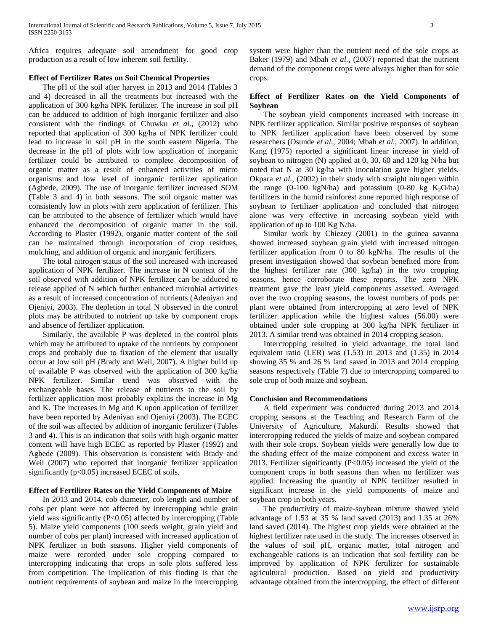Africa requires adequate soil amendment for good crop production as a result of low inherent soil fertility.

# **Effect of Fertilizer Rates on Soil Chemical Properties**

 The pH of the soil after harvest in 2013 and 2014 (Tables 3 and 4) decreased in all the treatments but increased with the application of 300 kg/ha NPK fertilizer. The increase in soil pH can be adduced to addition of high inorganic fertilizer and also consistent with the findings of Chuwku *et al.,* (2012) who reported that application of 300 kg/ha of NPK fertilizer could lead to increase in soil pH in the south eastern Nigeria. The decrease in the pH of plots with low application of inorganic fertilizer could be attributed to complete decomposition of organic matter as a result of enhanced activities of micro organisms and low level of inorganic fertilizer application (Agbede, 2009). The use of inorganic fertilizer increased SOM (Table 3 and 4) in both seasons. The soil organic matter was consistently low in plots with zero application of fertilizer. This can be attributed to the absence of fertilizer which would have enhanced the decomposition of organic matter in the soil. According to Plaster (1992), organic matter content of the soil can be maintained through incorporation of crop residues, mulching, and addition of organic and inorganic fertilizers.

 The total nitrogen status of the soil increased with increased application of NPK fertilizer. The increase in N content of the soil observed with addition of NPK fertilizer can be adduced to release applied of N which further enhanced microbial activities as a result of increased concentration of nutrients (Adeniyan and Ojeniyi, 2003). The depletion in total N observed in the control plots may be attributed to nutrient up take by component crops and absence of fertilizer application.

 Similarly, the available P was depleted in the control plots which may be attributed to uptake of the nutrients by component crops and probably due to fixation of the element that usually occur at low soil pH (Brady and Weil, 2007). A higher build up of available P was observed with the application of 300 kg/ha NPK fertilizer. Similar trend was observed with the exchangeable bases. The release of nutrients to the soil by fertilizer application most probably explains the increase in Mg and K. The increases in Mg and K upon application of fertilizer have been reported by Adeniyan and Ojeniyi (2003). The ECEC of the soil was affected by addition of inorganic fertilizer (Tables 3 and 4). This is an indication that soils with high organic matter content will have high ECEC as reported by Plaster (1992) and Agbede (2009). This observation is consistent with Brady and Weil (2007) who reported that inorganic fertilizer application significantly  $(p<0.05)$  increased ECEC of soils.

# **Effect of Fertilizer Rates on the Yield Components of Maize**

 In 2013 and 2014, cob diameter, cob length and number of cobs per plant were not affected by intercropping while grain yield was significantly (P<0.05) affected by intercropping (Table 5). Maize yield components (100 seeds weight, grain yield and number of cobs per plant) increased with increased application of NPK fertilizer in both seasons. Higher yield components of maize were recorded under sole cropping compared to intercropping indicating that crops in sole plots suffered less from competition. The implication of this finding is that the nutrient requirements of soybean and maize in the intercropping system were higher than the nutrient need of the sole crops as Baker (1979) and Mbah *et al.,* (2007) reported that the nutrient demand of the component crops were always higher than for sole crops.

# **Effect of Fertilizer Rates on the Yield Components of Soybean**

 The soybean yield components increased with increase in NPK fertilizer application. Similar positive responses of soybean to NPK fertilizer application have been observed by some researchers (Osunde *et al.,* 2004; Mbah *et al.,* 2007). In addition, Kang (1975) reported a significant linear increase in yield of soybean to nitrogen (N) applied at 0, 30, 60 and 120 kg N/ha but noted that N at 30 kg/ha with inoculation gave higher yields. Okpara *et al.,* (2002) in their study with straight nitrogen within the range (0-100 kgN/ha) and potassium (0-80 kg  $K_2O/ha$ ) fertilizers in the humid rainforest zone reported high response of soybean to fertilizer application and concluded that nitrogen alone was very effective in increasing soybean yield with application of up to 100 Kg N/ha.

 Similar work by Chiezey (2001) in the guinea savanna showed increased soybean grain yield with increased nitrogen fertilizer application from 0 to 80 kgN/ha. The results of the present investigation showed that soybean benefited more from the highest fertilizer rate (300 kg/ha) in the two cropping seasons, hence corroborate these reports. The zero NPK treatment gave the least yield components assessed. Averaged over the two cropping seasons, the lowest numbers of pods per plant were obtained from intercropping at zero level of NPK fertilizer application while the highest values (56.00) were obtained under sole cropping at 300 kg/ha NPK fertilizer in 2013. A similar trend was obtained in 2014 cropping season.

 Intercropping resulted in yield advantage; the total land equivalent ratio (LER) was (1.53) in 2013 and (1.35) in 2014 showing 35 % and 26 % land saved in 2013 and 2014 cropping seasons respectively (Table 7) due to intercropping compared to sole crop of both maize and soybean.

## **Conclusion and Recommendations**

 A field experiment was conducted during 2013 and 2014 cropping seasons at the Teaching and Research Farm of the University of Agriculture, Makurdi. Results showed that intercropping reduced the yields of maize and soybean compared with their sole crops. Soybean yields were generally low due to the shading effect of the maize component and excess water in 2013. Fertilizer significantly (P<0.05) increased the yield of the component crops in both seasons than when no fertilizer was applied. Increasing the quantity of NPK fertilizer resulted in significant increase in the yield components of maize and soybean crop in both years.

 The productivity of maize-soybean mixture showed yield advantage of 1.53 at 35 % land saved (2013) and 1.35 at 26% land saved (2014). The highest crop yields were obtained at the highest fertilizer rate used in the study. The increases observed in the values of soil pH, organic matter, total nitrogen and exchangeable cations is an indication that soil fertility can be improved by application of NPK fertilizer for sustainable agricultural production. Based on yield and productivity advantage obtained from the intercropping, the effect of different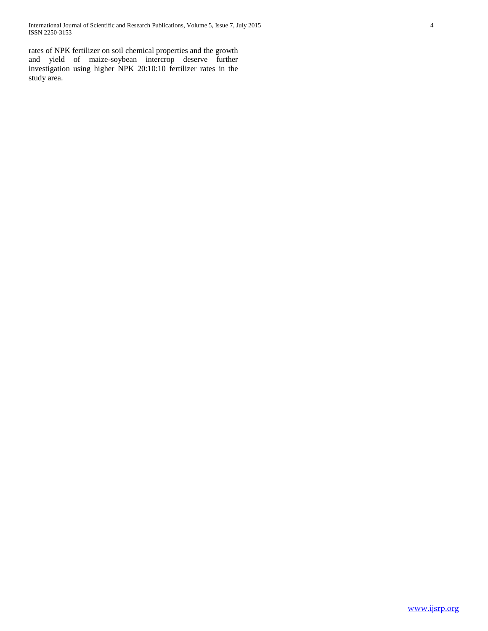International Journal of Scientific and Research Publications, Volume 5, Issue 7, July 2015 4 ISSN 2250-3153

rates of NPK fertilizer on soil chemical properties and the growth and yield of maize-soybean intercrop deserve further investigation using higher NPK 20:10:10 fertilizer rates in the study area.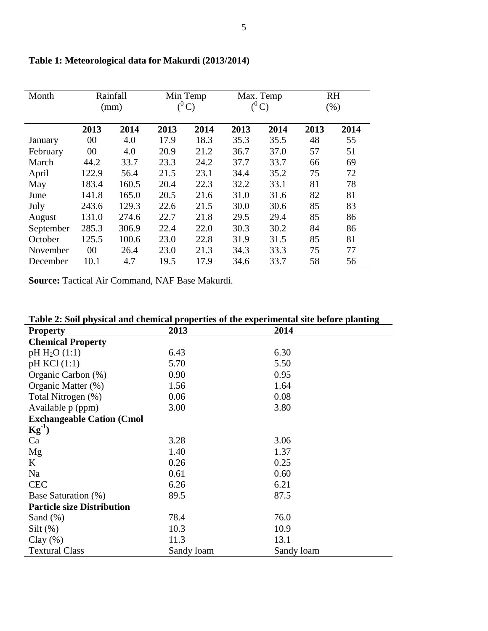| Month     |       | Rainfall<br>(mm) |      | Min Temp<br>$(^0C)$ |      | Max. Temp<br>$(^0C)$ | <b>RH</b><br>(% ) |      |  |
|-----------|-------|------------------|------|---------------------|------|----------------------|-------------------|------|--|
|           | 2013  | 2014             | 2013 | 2014                | 2013 | 2014                 | 2013              | 2014 |  |
| January   | 00    | 4.0              | 17.9 | 18.3                | 35.3 | 35.5                 | 48                | 55   |  |
| February  | 00    | 4.0              | 20.9 | 21.2                | 36.7 | 37.0                 | 57                | 51   |  |
| March     | 44.2  | 33.7             | 23.3 | 24.2                | 37.7 | 33.7                 | 66                | 69   |  |
| April     | 122.9 | 56.4             | 21.5 | 23.1                | 34.4 | 35.2                 | 75                | 72   |  |
| May       | 183.4 | 160.5            | 20.4 | 22.3                | 32.2 | 33.1                 | 81                | 78   |  |
| June      | 141.8 | 165.0            | 20.5 | 21.6                | 31.0 | 31.6                 | 82                | 81   |  |
| July      | 243.6 | 129.3            | 22.6 | 21.5                | 30.0 | 30.6                 | 85                | 83   |  |
| August    | 131.0 | 274.6            | 22.7 | 21.8                | 29.5 | 29.4                 | 85                | 86   |  |
| September | 285.3 | 306.9            | 22.4 | 22.0                | 30.3 | 30.2                 | 84                | 86   |  |
| October   | 125.5 | 100.6            | 23.0 | 22.8                | 31.9 | 31.5                 | 85                | 81   |  |
| November  | 00    | 26.4             | 23.0 | 21.3                | 34.3 | 33.3                 | 75                | 77   |  |
| December  | 10.1  | 4.7              | 19.5 | 17.9                | 34.6 | 33.7                 | 58                | 56   |  |

# **Table 1: Meteorological data for Makurdi (2013/2014)**

**Source:** Tactical Air Command, NAF Base Makurdi.

| Table 2: Soil physical and chemical properties of the experimental site before planting |            |            |  |  |  |  |  |  |
|-----------------------------------------------------------------------------------------|------------|------------|--|--|--|--|--|--|
| <b>Property</b>                                                                         | 2013       | 2014       |  |  |  |  |  |  |
| <b>Chemical Property</b>                                                                |            |            |  |  |  |  |  |  |
| $pH H_2O(1:1)$                                                                          | 6.43       | 6.30       |  |  |  |  |  |  |
| pH KCl (1:1)                                                                            | 5.70       | 5.50       |  |  |  |  |  |  |
| Organic Carbon (%)                                                                      | 0.90       | 0.95       |  |  |  |  |  |  |
| Organic Matter (%)                                                                      | 1.56       | 1.64       |  |  |  |  |  |  |
| Total Nitrogen (%)                                                                      | 0.06       | 0.08       |  |  |  |  |  |  |
| Available p (ppm)                                                                       | 3.00       | 3.80       |  |  |  |  |  |  |
| <b>Exchangeable Cation (Cmol</b>                                                        |            |            |  |  |  |  |  |  |
| $\text{Kg}^{-1}$                                                                        |            |            |  |  |  |  |  |  |
| Ca                                                                                      | 3.28       | 3.06       |  |  |  |  |  |  |
| Mg                                                                                      | 1.40       | 1.37       |  |  |  |  |  |  |
| K                                                                                       | 0.26       | 0.25       |  |  |  |  |  |  |
| Na                                                                                      | 0.61       | 0.60       |  |  |  |  |  |  |
| <b>CEC</b>                                                                              | 6.26       | 6.21       |  |  |  |  |  |  |
| Base Saturation (%)                                                                     | 89.5       | 87.5       |  |  |  |  |  |  |
| <b>Particle size Distribution</b>                                                       |            |            |  |  |  |  |  |  |
| Sand $(\%)$                                                                             | 78.4       | 76.0       |  |  |  |  |  |  |
| $Silt(\%)$                                                                              | 10.3       | 10.9       |  |  |  |  |  |  |
| Clay $(\%)$                                                                             | 11.3       | 13.1       |  |  |  |  |  |  |
| <b>Textural Class</b>                                                                   | Sandy loam | Sandy loam |  |  |  |  |  |  |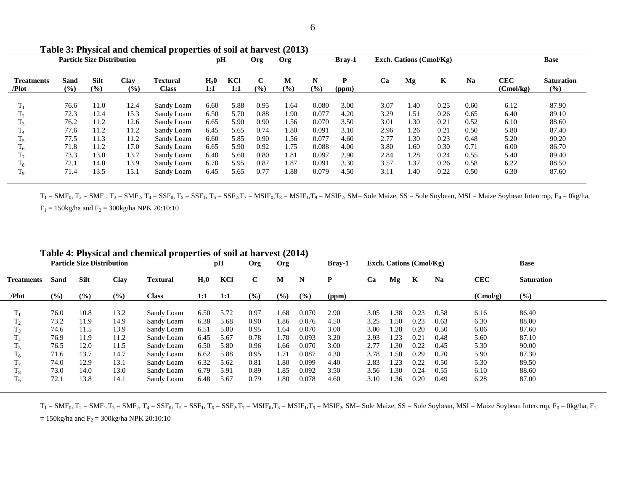|                            | <b>Particle Size Distribution</b> |                    |             | pH                              |                         | Org        | Org                |             | <b>Bray-1</b> |            | Exch. Cations $(Cmol/Kg)$ |      |              |           | <b>Base</b>             |                             |
|----------------------------|-----------------------------------|--------------------|-------------|---------------------------------|-------------------------|------------|--------------------|-------------|---------------|------------|---------------------------|------|--------------|-----------|-------------------------|-----------------------------|
| <b>Treatments</b><br>/Plot | Sand<br>(9/0)                     | <b>Silt</b><br>(%) | Clay<br>(%) | <b>Textural</b><br><b>Class</b> | H <sub>2</sub> 0<br>1:1 | KCl<br>1:1 | $\mathbf C$<br>(%) | М<br>$(\%)$ | N<br>(9/0)    | P<br>(ppm) | Ca                        | Mg   | $\mathbf{K}$ | <b>Na</b> | <b>CEC</b><br>(Cmol/kg) | <b>Saturation</b><br>$($ %) |
| $T_1$                      | 76.6                              | 11.0               | 12.4        | Sandy Loam                      | 6.60                    | 5.88       | 0.95               | 1.64        | 0.080         | 3.00       | 3.07                      | 1.40 | 0.25         | 0.60      | 6.12                    | 87.90                       |
| $\rm T_2$                  | 72.3                              | 12.4               | 15.3        | Sandy Loam                      | 6.50                    | 5.70       | 0.88               | 1.90        | 0.077         | 4.20       | 3.29                      | 1.51 | 0.26         | 0.65      | 6.40                    | 89.10                       |
| $T_3$                      | 76.2                              | 11.2               | 12.6        | Sandy Loam                      | 6.65                    | 5.90       | 0.90               | 1.56        | 0.070         | 3.50       | 3.01                      | 1.30 | 0.21         | 0.52      | 6.10                    | 88.60                       |
| $\rm T_4$                  | 77.6                              | 11.2               | 11.2        | Sandy Loam                      | 6.45                    | 5.65       | 0.74               | 1.80        | 0.091         | 3.10       | 2.96                      | 1.26 | 0.21         | 0.50      | 5.80                    | 87.40                       |
| $T_5$                      | 77.5                              | 11.3               | 11.2        | Sandy Loam                      | 6.60                    | 5.85       | 0.90               | 1.56        | 0.077         | 4.60       | 2.77                      | 1.30 | 0.23         | 0.48      | 5.20                    | 90.20                       |
| $\mathrm{T}_6$             | 71.8                              | 11.2               | 17.0        | Sandy Loam                      | 6.65                    | 5.90       | 0.92               | 1.75        | 0.088         | 4.00       | 3.80                      | 1.60 | 0.30         | 0.71      | 6.00                    | 86.70                       |
| $T_7$                      | 73.3                              | 13.0               | 13.7        | Sandy Loam                      | 6.40                    | 5.60       | 0.80               | 1.81        | 0.097         | 2.90       | 2.84                      | 1.28 | 0.24         | 0.55      | 5.40                    | 89.40                       |
| $T_8$                      | 72.1                              | 14.0               | 13.9        | Sandy Loam                      | 6.70                    | 5.95       | 0.87               | 1.87        | 0.091         | 3.30       | 3.57                      | 1.37 | 0.26         | 0.58      | 6.22                    | 88.50                       |
| $T_9$                      | 71.4                              | 13.5               | 15.1        | Sandy Loam                      | 6.45                    | 5.65       | 0.77               | 1.88        | 0.079         | 4.50       | 3.11                      | 1.40 | 0.22         | 0.50      | 6.30                    | 87.60                       |

**Table 3: Physical and chemical properties of soil at harvest (2013)**

 $T_1 = SMF_0$ ,  $T_2 = SMF_1$ ,  $T_3 = SMF_2$ ,  $T_4 = SSF_0$ ,  $T_5 = SSF_1$ ,  $T_6 = SSF_2$ ,  $T_7 = MSIF_0$ ,  $T_8 = MSIF_1$ ,  $T_9 = MSIF_2$ ,  $SM = Sole$  Maize,  $SS = Sole$  Soybean,  $MSI = Maize$  Soybean Intercrop,  $F_0 = 0kg/ha$ ,  $F_1 = 150$ kg/ha and  $F_2 = 300$ kg/ha NPK 20:10:10

| <b>Particle Size Distribution</b> |             |             |        | pH              | <b>Org</b> | Org  |             | Bray-1 |       | Exch. Cations (Cmol/Kg) |      |     |      | <b>Base</b> |            |                   |
|-----------------------------------|-------------|-------------|--------|-----------------|------------|------|-------------|--------|-------|-------------------------|------|-----|------|-------------|------------|-------------------|
| <b>Treatments</b>                 | <b>Sand</b> | <b>Silt</b> | Clay   | <b>Textural</b> | $H_20$     | KCl  | $\mathbf C$ | M      | N     | P                       | Ca   | Mg  | К    | <b>Na</b>   | <b>CEC</b> | <b>Saturation</b> |
| /Plot                             | $($ %)      | (%)         | $(\%)$ | <b>Class</b>    | 1:1        | 1:1  | $($ %)      | (%)    | (%)   | (ppm)                   |      |     |      |             | (Cmol/g)   | (%)               |
|                                   |             |             |        |                 |            |      |             |        |       |                         |      |     |      |             |            |                   |
| 1 <sub>1</sub>                    | 76.0        | 10.8        | 13.2   | Sandy Loam      | 6.50       | 5.72 | 0.97        | 1.68   | 0.070 | 2.90                    | 3.05 | .38 | 0.23 | 0.58        | 6.16       | 86.40             |
| 12                                | 73.2        | 11.9        | 14.9   | Sandy Loam      | 6.38       | 5.68 | 0.90        | 1.86   | 0.076 | 4.50                    | 3.25 | .50 | 0.23 | 0.63        | 6.30       | 88.00             |
| 1 <sub>3</sub>                    | 74.6        | 11.5        | 13.9   | Sandy Loam      | 6.51       | 5.80 | 0.95        | 1.64   | 0.070 | 3.00                    | 3.00 | .28 | 0.20 | 0.50        | 6.06       | 87.60             |
|                                   | 76.9        | 11.9        | 11.2   | Sandy Loam      | 6.45       | 5.67 | 0.78        | 1.70   | 0.093 | 3.20                    | 2.93 | .23 | 0.21 | 0.48        | 5.60       | 87.10             |
| 1 <sub>5</sub>                    | 76.5        | 12.0        | 11.5   | Sandy Loam      | 6.50       | 5.80 | 0.96        | 1.66   | 0.070 | 3.00                    | 2.77 | .30 | 0.22 | 0.45        | 5.30       | 90.00             |
| 1 <sub>6</sub>                    | 71.6        | 13.7        | 14.7   | Sandy Loam      | 6.62       | 5.88 | 0.95        | 1.71   | 0.087 | 4.30                    | 3.78 | .50 | 0.29 | 0.70        | 5.90       | 87.30             |
| 17                                | 74.0        | 12.9        | 13.1   | Sandy Loam      | 6.32       | 5.62 | 0.81        | 1.80   | 0.099 | 4.40                    | 2.83 | .23 | 0.22 | 0.50        | 5.30       | 89.50             |
| 18                                | 73.0        | 14.0        | 13.0   | Sandy Loam      | 6.79       | 5.91 | 0.89        | 1.85   | 0.092 | 3.50                    | 3.56 | .30 | 0.24 | 0.55        | 6.10       | 88.60             |
| ΙQ                                | 72.1        | 13.8        | 14.1   | Sandy Loam      | 6.48       | 5.67 | 0.79        | 1.80   | 0.078 | 4.60                    | 3.10 | .36 | 0.20 | 0.49        | 6.28       | 87.00             |

 $T_1 = SMF_0$ ,  $T_2 = SMF_1$ ,  $T_3 = SMF_2$ ,  $T_4 = SSF_0$ ,  $T_5 = SSF_1$ ,  $T_6 = SSF_2$ ,  $T_7 = MSIF_0$ ,  $T_8 = MSIF_1$ ,  $T_9 = MSIF_2$ ,  $SM = Sole$  Maize,  $SS = Sole$  Soybean,  $MSI = Maize$  Soybean Intercrop,  $F_0 = 0kg/ha$ ,  $F_1$ 

= 150kg/ha and  $F_2$  = 300kg/ha NPK 20:10:10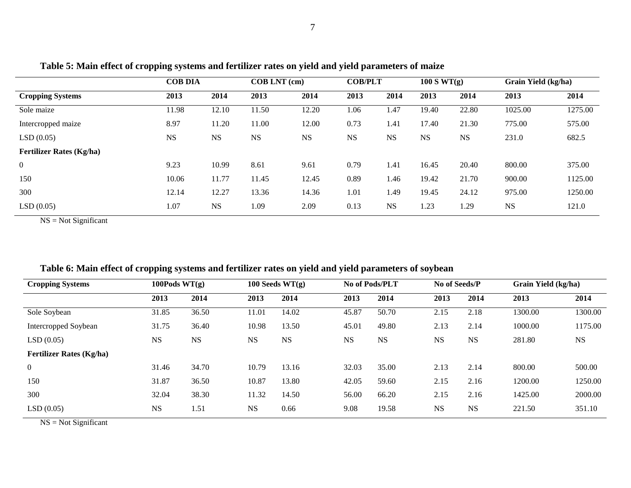| Grain Yield (kg/ha)<br>2014 |
|-----------------------------|
|                             |
|                             |
| 1275.00                     |
| 575.00                      |
| 682.5                       |
|                             |
| 375.00                      |
| 1125.00                     |
| 1250.00                     |
|                             |

LSD (0.05) 1.07 NS 1.09 2.09 0.13 NS 1.23 1.29 NS 121.0

**Table 5: Main effect of cropping systems and fertilizer rates on yield and yield parameters of maize**

NS = Not Significant

| <b>Cropping Systems</b>         | 100Pods $WT(g)$ |           | 100 Seeds $WT(g)$ |           | No of Pods/PLT |           | No of Seeds/P |           | Grain Yield (kg/ha) |           |
|---------------------------------|-----------------|-----------|-------------------|-----------|----------------|-----------|---------------|-----------|---------------------|-----------|
|                                 | 2013            | 2014      | 2013              | 2014      | 2013           | 2014      | 2013          | 2014      | 2013                | 2014      |
| Sole Soybean                    | 31.85           | 36.50     | 11.01             | 14.02     | 45.87          | 50.70     | 2.15          | 2.18      | 1300.00             | 1300.00   |
| Intercropped Soybean            | 31.75           | 36.40     | 10.98             | 13.50     | 45.01          | 49.80     | 2.13          | 2.14      | 1000.00             | 1175.00   |
| LSD(0.05)                       | <b>NS</b>       | <b>NS</b> | <b>NS</b>         | <b>NS</b> | <b>NS</b>      | <b>NS</b> | <b>NS</b>     | <b>NS</b> | 281.80              | <b>NS</b> |
| <b>Fertilizer Rates (Kg/ha)</b> |                 |           |                   |           |                |           |               |           |                     |           |
| $\boldsymbol{0}$                | 31.46           | 34.70     | 10.79             | 13.16     | 32.03          | 35.00     | 2.13          | 2.14      | 800.00              | 500.00    |
| 150                             | 31.87           | 36.50     | 10.87             | 13.80     | 42.05          | 59.60     | 2.15          | 2.16      | 1200.00             | 1250.00   |
| 300                             | 32.04           | 38.30     | 11.32             | 14.50     | 56.00          | 66.20     | 2.15          | 2.16      | 1425.00             | 2000.00   |
| LSD(0.05)                       | <b>NS</b>       | 1.51      | <b>NS</b>         | 0.66      | 9.08           | 19.58     | <b>NS</b>     | <b>NS</b> | 221.50              | 351.10    |

# **Table 6: Main effect of cropping systems and fertilizer rates on yield and yield parameters of soybean**

NS = Not Significant